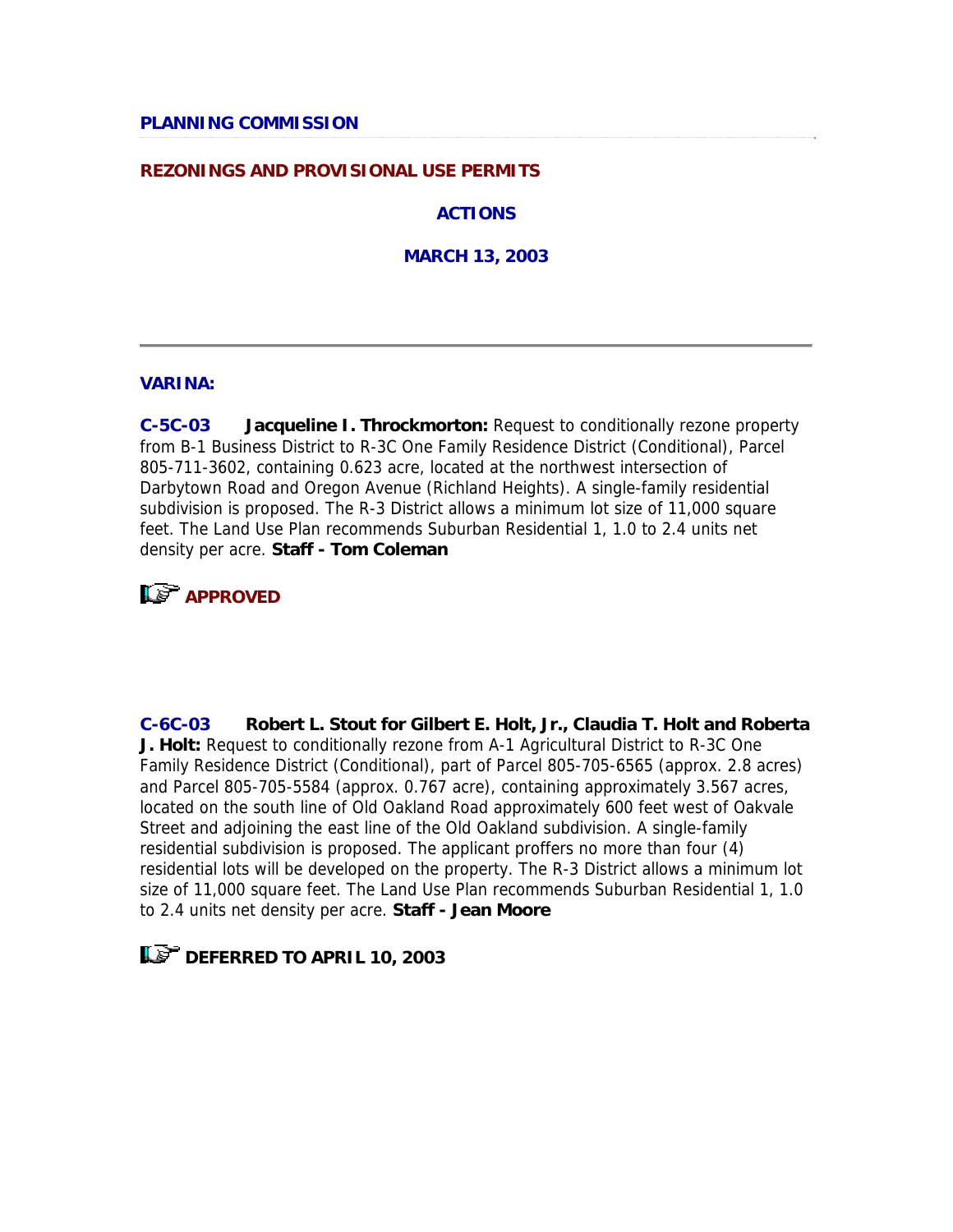### **REZONINGS AND PROVISIONAL USE PERMITS**

**ACTIONS**

**MARCH 13, 2003**

#### **VARINA:**

**C-5C-03 Jacqueline I. Throckmorton:** Request to conditionally rezone property from B-1 Business District to R-3C One Family Residence District (Conditional), Parcel 805-711-3602, containing 0.623 acre, located at the northwest intersection of Darbytown Road and Oregon Avenue (Richland Heights). A single-family residential subdivision is proposed. The R-3 District allows a minimum lot size of 11,000 square feet. The Land Use Plan recommends Suburban Residential 1, 1.0 to 2.4 units net density per acre. **Staff - Tom Coleman**



**C-6C-03 Robert L. Stout for Gilbert E. Holt, Jr., Claudia T. Holt and Roberta J. Holt:** Request to conditionally rezone from A-1 Agricultural District to R-3C One Family Residence District (Conditional), part of Parcel 805-705-6565 (approx. 2.8 acres) and Parcel 805-705-5584 (approx. 0.767 acre), containing approximately 3.567 acres, located on the south line of Old Oakland Road approximately 600 feet west of Oakvale Street and adjoining the east line of the Old Oakland subdivision. A single-family residential subdivision is proposed. The applicant proffers no more than four (4) residential lots will be developed on the property. The R-3 District allows a minimum lot size of 11,000 square feet. The Land Use Plan recommends Suburban Residential 1, 1.0 to 2.4 units net density per acre. **Staff - Jean Moore**

## **LET DEFERRED TO APRIL 10, 2003**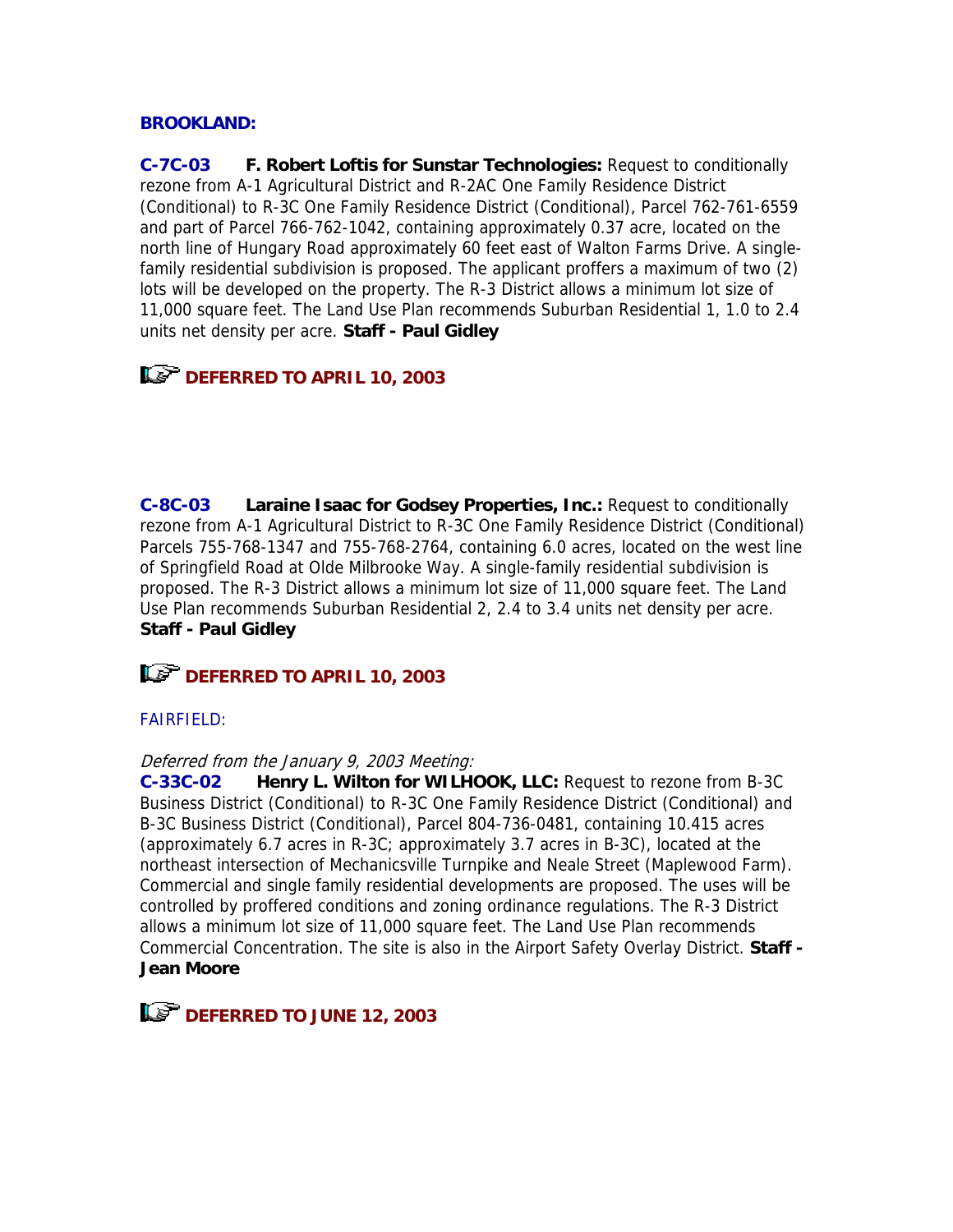## **BROOKLAND:**

**C-7C-03 F. Robert Loftis for Sunstar Technologies:** Request to conditionally rezone from A-1 Agricultural District and R-2AC One Family Residence District (Conditional) to R-3C One Family Residence District (Conditional), Parcel 762-761-6559 and part of Parcel 766-762-1042, containing approximately 0.37 acre, located on the north line of Hungary Road approximately 60 feet east of Walton Farms Drive. A singlefamily residential subdivision is proposed. The applicant proffers a maximum of two (2) lots will be developed on the property. The R-3 District allows a minimum lot size of 11,000 square feet. The Land Use Plan recommends Suburban Residential 1, 1.0 to 2.4 units net density per acre. **Staff - Paul Gidley**

# **Let DEFERRED TO APRIL 10, 2003**

**C-8C-03 Laraine Isaac for Godsey Properties, Inc.:** Request to conditionally rezone from A-1 Agricultural District to R-3C One Family Residence District (Conditional) Parcels 755-768-1347 and 755-768-2764, containing 6.0 acres, located on the west line of Springfield Road at Olde Milbrooke Way. A single-family residential subdivision is proposed. The R-3 District allows a minimum lot size of 11,000 square feet. The Land Use Plan recommends Suburban Residential 2, 2.4 to 3.4 units net density per acre. **Staff - Paul Gidley**

## **DEFERRED TO APRIL 10, 2003**

## FAIRFIELD:

### Deferred from the January 9, 2003 Meeting:

**C-33C-02 Henry L. Wilton for WILHOOK, LLC:** Request to rezone from B-3C Business District (Conditional) to R-3C One Family Residence District (Conditional) and B-3C Business District (Conditional), Parcel 804-736-0481, containing 10.415 acres (approximately 6.7 acres in R-3C; approximately 3.7 acres in B-3C), located at the northeast intersection of Mechanicsville Turnpike and Neale Street (Maplewood Farm). Commercial and single family residential developments are proposed. The uses will be controlled by proffered conditions and zoning ordinance regulations. The R-3 District allows a minimum lot size of 11,000 square feet. The Land Use Plan recommends Commercial Concentration. The site is also in the Airport Safety Overlay District. **Staff - Jean Moore**

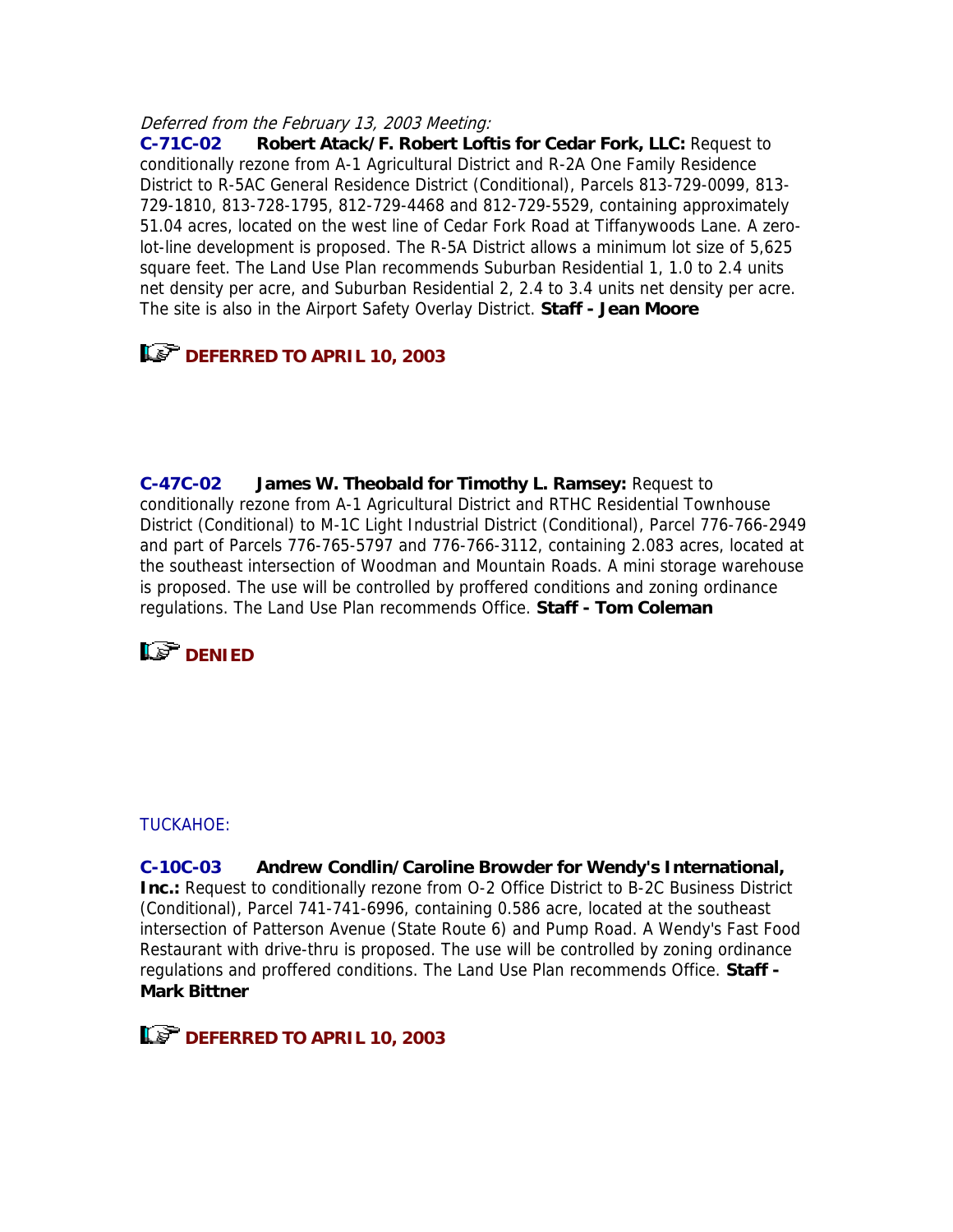#### Deferred from the February 13, 2003 Meeting:

**C-71C-02 Robert Atack/F. Robert Loftis for Cedar Fork, LLC:** Request to conditionally rezone from A-1 Agricultural District and R-2A One Family Residence District to R-5AC General Residence District (Conditional), Parcels 813-729-0099, 813- 729-1810, 813-728-1795, 812-729-4468 and 812-729-5529, containing approximately 51.04 acres, located on the west line of Cedar Fork Road at Tiffanywoods Lane. A zerolot-line development is proposed. The R-5A District allows a minimum lot size of 5,625 square feet. The Land Use Plan recommends Suburban Residential 1, 1.0 to 2.4 units net density per acre, and Suburban Residential 2, 2.4 to 3.4 units net density per acre. The site is also in the Airport Safety Overlay District. **Staff - Jean Moore**

# **DEFERRED TO APRIL 10, 2003**

**C-47C-02 James W. Theobald for Timothy L. Ramsey:** Request to conditionally rezone from A-1 Agricultural District and RTHC Residential Townhouse District (Conditional) to M-1C Light Industrial District (Conditional), Parcel 776-766-2949 and part of Parcels 776-765-5797 and 776-766-3112, containing 2.083 acres, located at the southeast intersection of Woodman and Mountain Roads. A mini storage warehouse is proposed. The use will be controlled by proffered conditions and zoning ordinance regulations. The Land Use Plan recommends Office. **Staff - Tom Coleman**



#### TUCKAHOE:

**C-10C-03 Andrew Condlin/Caroline Browder for Wendy's International, Inc.:** Request to conditionally rezone from O-2 Office District to B-2C Business District (Conditional), Parcel 741-741-6996, containing 0.586 acre, located at the southeast intersection of Patterson Avenue (State Route 6) and Pump Road. A Wendy's Fast Food Restaurant with drive-thru is proposed. The use will be controlled by zoning ordinance regulations and proffered conditions. The Land Use Plan recommends Office. **Staff - Mark Bittner**